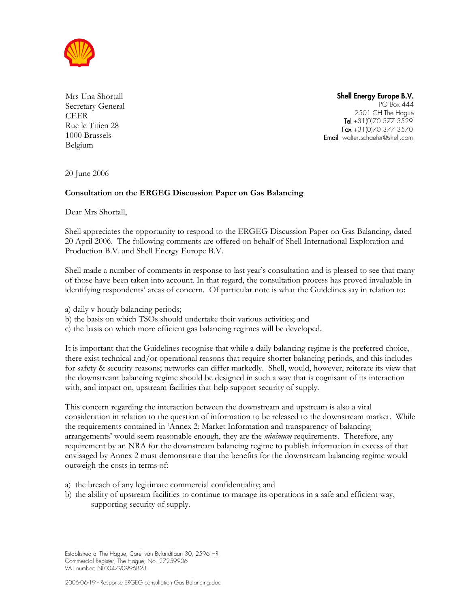

Mrs Una Shortall Secretary General CEER Rue le Titien 28 1000 Brussels Belgium

Shell Energy Europe B.V. PO Box 444 2501 CH The Hague Tel  $+31(0)703773529$  $Fax +31(0)703773570$ **Email** walter.schaefer@shell.com

20 June 2006

## Consultation on the ERGEG Discussion Paper on Gas Balancing

Dear Mrs Shortall,

Shell appreciates the opportunity to respond to the ERGEG Discussion Paper on Gas Balancing, dated 20 April 2006. The following comments are offered on behalf of Shell International Exploration and Production B.V. and Shell Energy Europe B.V.

Shell made a number of comments in response to last year's consultation and is pleased to see that many of those have been taken into account. In that regard, the consultation process has proved invaluable in identifying respondents' areas of concern. Of particular note is what the Guidelines say in relation to:

a) daily v hourly balancing periods;

- b) the basis on which TSOs should undertake their various activities; and
- c) the basis on which more efficient gas balancing regimes will be developed.

It is important that the Guidelines recognise that while a daily balancing regime is the preferred choice, there exist technical and/or operational reasons that require shorter balancing periods, and this includes for safety & security reasons; networks can differ markedly. Shell, would, however, reiterate its view that the downstream balancing regime should be designed in such a way that is cognisant of its interaction with, and impact on, upstream facilities that help support security of supply.

This concern regarding the interaction between the downstream and upstream is also a vital consideration in relation to the question of information to be released to the downstream market. While the requirements contained in 'Annex 2: Market Information and transparency of balancing arrangements' would seem reasonable enough, they are the *minimum* requirements. Therefore, any requirement by an NRA for the downstream balancing regime to publish information in excess of that envisaged by Annex 2 must demonstrate that the benefits for the downstream balancing regime would outweigh the costs in terms of:

a) the breach of any legitimate commercial confidentiality; and

b) the ability of upstream facilities to continue to manage its operations in a safe and efficient way, supporting security of supply.

Established at The Hague, Carel van Bylandtlaan 30, 2596 HR Commercial Register, The Hague, No. 27259906 VAT number: NL004790996B23